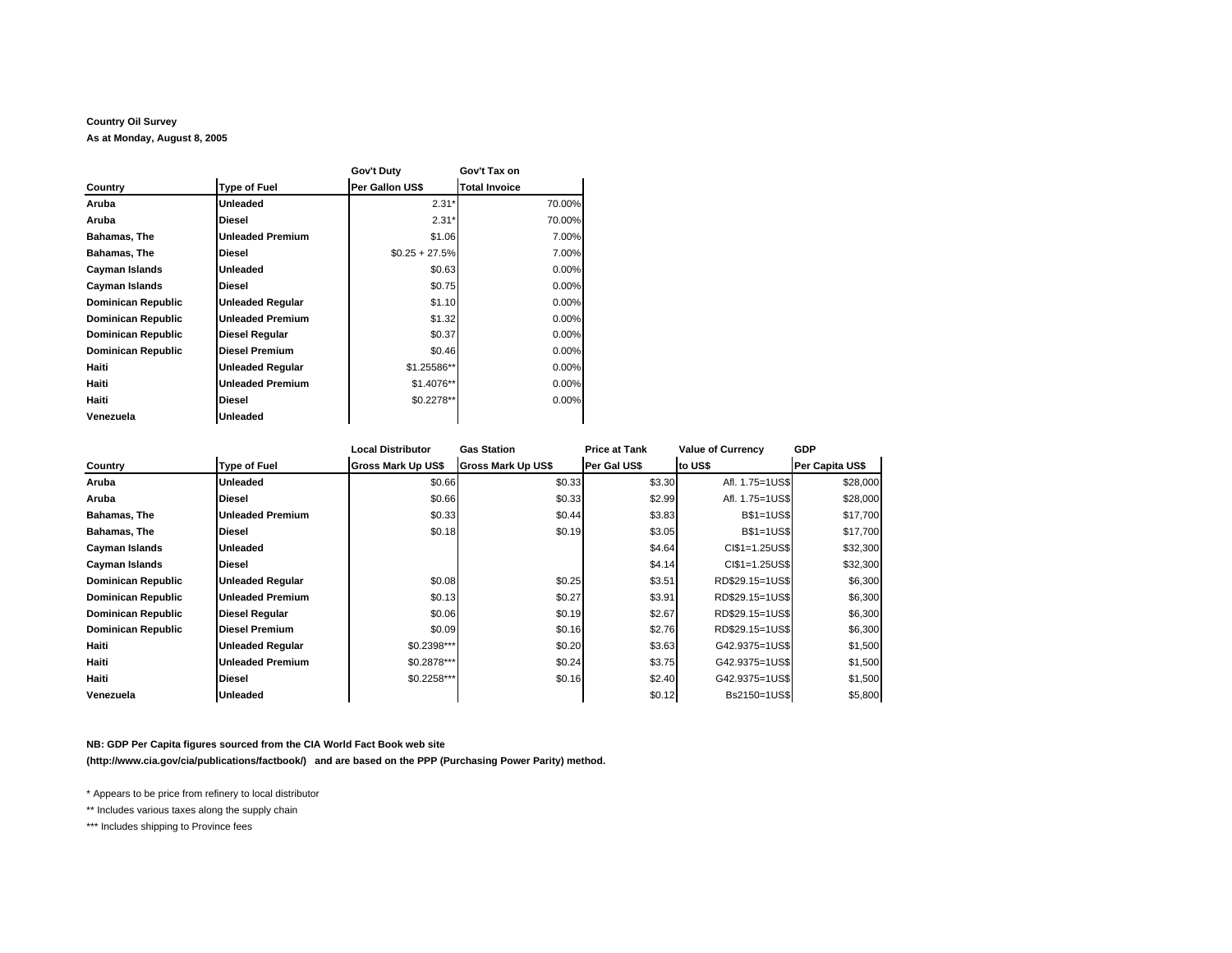## **Country Oil Survey**

**As at Monday, August 8, 2005**

|                    |                         | Gov't Duty       | Gov't Tax on         |  |
|--------------------|-------------------------|------------------|----------------------|--|
| Country            | <b>Type of Fuel</b>     | Per Gallon US\$  | <b>Total Invoice</b> |  |
| Aruba              | Unleaded                | $2.31*$          | 70.00%               |  |
| Aruba              | <b>Diesel</b>           | $2.31*$          | 70.00%               |  |
| Bahamas, The       | <b>Unleaded Premium</b> | \$1.06           | 7.00%                |  |
| Bahamas, The       | <b>Diesel</b>           | $$0.25 + 27.5\%$ | 7.00%                |  |
| Cayman Islands     | Unleaded                | \$0.63           | 0.00%                |  |
| Cayman Islands     | <b>Diesel</b>           | \$0.75           | 0.00%                |  |
| Dominican Republic | <b>Unleaded Regular</b> | \$1.10           | 0.00%                |  |
| Dominican Republic | <b>Unleaded Premium</b> | \$1.32           | 0.00%                |  |
| Dominican Republic | <b>Diesel Regular</b>   | \$0.37           | 0.00%                |  |
| Dominican Republic | <b>Diesel Premium</b>   | \$0.46           | 0.00%                |  |
| Haiti              | <b>Unleaded Regular</b> | \$1.25586**      | 0.00%                |  |
| Haiti              | <b>Unleaded Premium</b> | \$1.4076**       | 0.00%                |  |
| Haiti              | <b>Diesel</b>           | \$0.2278**       | 0.00%                |  |
| Venezuela          | <b>Unleaded</b>         |                  |                      |  |

|                           |                         | <b>Local Distributor</b>  | <b>Gas Station</b> | <b>Price at Tank</b> | <b>Value of Currency</b> | <b>GDP</b>      |
|---------------------------|-------------------------|---------------------------|--------------------|----------------------|--------------------------|-----------------|
| Country                   | <b>Type of Fuel</b>     | <b>Gross Mark Up US\$</b> | Gross Mark Up US\$ | Per Gal US\$         | to US\$                  | Per Capita US\$ |
| Aruba                     | Unleaded                | \$0.66                    | \$0.33             | \$3.30               | Afl. 1.75=1US\$          | \$28,000        |
| Aruba                     | <b>Diesel</b>           | \$0.66                    | \$0.33             | \$2.99               | Afl. 1.75=1US\$          | \$28,000        |
| Bahamas, The              | Unleaded Premium        | \$0.33                    | \$0.44             | \$3.83               | <b>B\$1=1US\$</b>        | \$17,700        |
| Bahamas, The              | Diesel                  | \$0.18                    | \$0.19             | \$3.05               | <b>B\$1=1US\$</b>        | \$17,700        |
| Cayman Islands            | <b>Unleaded</b>         |                           |                    | \$4.64               | CI\$1=1.25US\$           | \$32,300        |
| Cayman Islands            | <b>Diesel</b>           |                           |                    | \$4.14               | $CI$1=1.25US$$           | \$32,300        |
| <b>Dominican Republic</b> | <b>Unleaded Regular</b> | \$0.08                    | \$0.25             | \$3.51               | RD\$29.15=1US\$          | \$6,300         |
| <b>Dominican Republic</b> | <b>Unleaded Premium</b> | \$0.13                    | \$0.27             | \$3.91               | RD\$29.15=1US\$          | \$6,300         |
| <b>Dominican Republic</b> | <b>Diesel Regular</b>   | \$0.06                    | \$0.19             | \$2.67               | RD\$29.15=1US\$          | \$6,300         |
| <b>Dominican Republic</b> | <b>Diesel Premium</b>   | \$0.09                    | \$0.16             | \$2.76               | RD\$29.15=1US\$          | \$6,300         |
| Haiti                     | <b>Unleaded Regular</b> | \$0.2398***               | \$0.20             | \$3.63               | G42.9375=1US\$           | \$1,500         |
| Haiti                     | <b>Unleaded Premium</b> | \$0.2878***               | \$0.24             | \$3.75               | G42.9375=1US\$           | \$1,500         |
| Haiti                     | Diesel                  | \$0.2258***               | \$0.16             | \$2.40               | G42.9375=1US\$           | \$1,500         |
| Venezuela                 | <b>Unleaded</b>         |                           |                    | \$0.12               | Bs2150=1US\$             | \$5,800         |

## **NB: GDP Per Capita figures sourced from the CIA World Fact Book web site**

**(http://www.cia.gov/cia/publications/factbook/) and are based on the PPP (Purchasing Power Parity) method.**

\* Appears to be price from refinery to local distributor

\*\* Includes various taxes along the supply chain

\*\*\* Includes shipping to Province fees